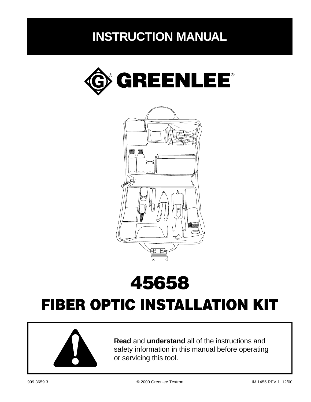## **INSTRUCTION MANUAL**





# 45658

## FIBER OPTIC INSTALLATION KIT



**Read** and **understand** all of the instructions and safety information in this manual before operating or servicing this tool.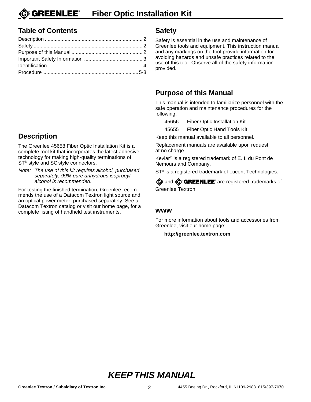**GREENLEE® Fiber Optic Installation Kit**

#### **Table of Contents**

#### **Description**

The Greenlee 45658 Fiber Optic Installation Kit is a complete tool kit that incorporates the latest adhesive technology for making high-quality terminations of ST<sup>®</sup> style and SC style connectors.

Note: The use of this kit requires alcohol, purchased separately; 99% pure anhydrous isopropyl alcohol is recommended.

For testing the finished termination, Greenlee recommends the use of a Datacom Textron light source and an optical power meter, purchased separately. See a Datacom Textron catalog or visit our home page, for a complete listing of handheld test instruments.

#### **Safety**

Safety is essential in the use and maintenance of Greenlee tools and equipment. This instruction manual and any markings on the tool provide information for avoiding hazards and unsafe practices related to the use of this tool. Observe all of the safety information provided.

#### **Purpose of this Manual**

This manual is intended to familiarize personnel with the safe operation and maintenance procedures for the following:

45656 Fiber Optic Installation Kit

45655 Fiber Optic Hand Tools Kit

Keep this manual available to all personnel.

Replacement manuals are available upon request at no charge.

Kevlar® is a registered trademark of E. I. du Pont de Nemours and Company.

ST<sup>®</sup> is a registered trademark of Lucent Technologies.

**G** and **G** GREENLEE<sup>\*</sup> are registered trademarks of Greenlee Textron.

#### **www**

For more information about tools and accessories from Greenlee, visit our home page:

**http://greenlee.textron.com**

**KEEP THIS MANUAL**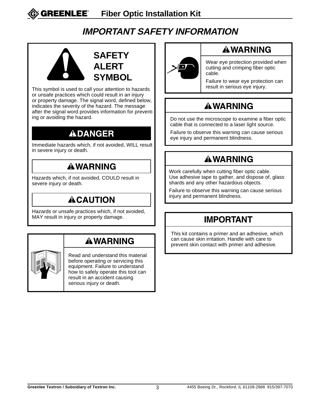### **IMPORTANT SAFETY INFORMATION**



This symbol is used to call your attention to hazards or unsafe practices which could result in an injury or property damage. The signal word, defined below, indicates the severity of the hazard. The message after the signal word provides information for preventing or avoiding the hazard.

### **ADANGER**

Immediate hazards which, if not avoided, WILL result in severe injury or death.

### **AWARNING**

Hazards which, if not avoided, COULD result in severe injury or death.

### **ACAUTION**

Hazards or unsafe practices which, if not avoided, MAY result in injury or property damage.

### **AWARNING**



Read and understand this material before operating or servicing this equipment. Failure to understand how to safely operate this tool can result in an accident causing serious injury or death.



### **AWARNING**

Wear eye protection provided when cutting and crimping fiber optic cable.

Failure to wear eye protection can result in serious eye injury.

### **AWARNING**

Do not use the microscope to examine a fiber optic cable that is connected to a laser light source.

Failure to observe this warning can cause serious eye injury and permanent blindness.

### **AWARNING**

Work carefully when cutting fiber optic cable. Use adhesive tape to gather, and dispose of, glass shards and any other hazardous objects.

Failure to observe this warning can cause serious injury and permanent blindness.

### **IMPORTANT**

This kit contains a primer and an adhesive, which can cause skin irritation. Handle with care to prevent skin contact with primer and adhesive.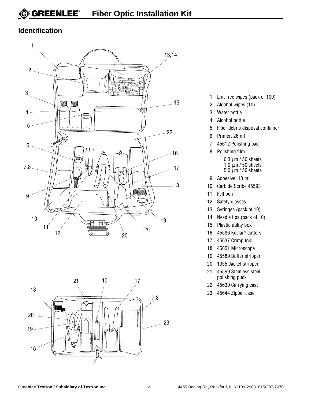#### **Identification**





- 1. Lint-free wipes (pack of 100)
- 2. Alcohol wipes (10)
- 3. Water bottle
- 4. Alcohol bottle
- 5. Fiber debris disposal container
- 6. Primer, 26 ml
- 7. 45612 Polishing pad
- 8. Polishing film 0.3 µm / 50 sheets  $1.0 \mu m / 50$  sheets 5.0 µm / 50 sheets
- 9. Adhesive, 10 ml
- 10. Carbide Scribe 45593
- 11. Felt pen
- 12. Safety glasses
- 13. Syringes (pack of 10)
- 14. Needle tips (pack of 10)
- 15. Plastic utility box
- 16. 45586 Kevlar® cutters
- 17. 45637 Crimp tool
- 18. 45651 Microscope
- 19. 45589 Buffer stripper
- 20. 1955 Jacket stripper
- 21. 45599 Stainless steel polishing puck
- 22. 45639 Carrying case
- 23. 45644 Zipper case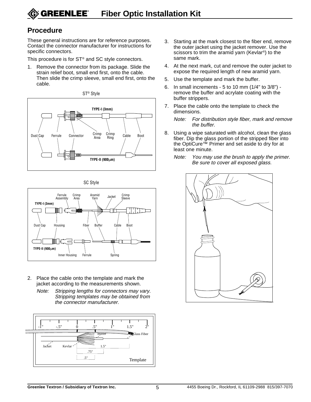#### **Procedure**

These general instructions are for reference purposes. Contact the connector manufacturer for instructions for specific connectors.

This procedure is for ST® and SC style connectors.

1. Remove the connector from its package. Slide the strain relief boot, small end first, onto the cable. Then slide the crimp sleeve, small end first, onto the cable.







- 2. Place the cable onto the template and mark the jacket according to the measurements shown.
	- Note: Stripping lengths for connectors may vary. Stripping templates may be obtained from the connector manufacturer.



- 3. Starting at the mark closest to the fiber end, remove the outer jacket using the jacket remover. Use the scissors to trim the aramid yarn (Kevlar®) to the same mark.
- 4. At the next mark, cut and remove the outer jacket to expose the required length of new aramid yarn.
- 5. Use the template and mark the buffer.
- 6. In small increments 5 to 10 mm (1/4" to 3/8") remove the buffer and acrylate coating with the buffer strippers.
- 7. Place the cable onto the template to check the dimensions.

Note: For distribution style fiber, mark and remove the buffer.

- 8. Using a wipe saturated with alcohol, clean the glass fiber. Dip the glass portion of the stripped fiber into the OptiCure™ Primer and set aside to dry for at least one minute.
	- Note: You may use the brush to apply the primer. Be sure to cover all exposed glass.

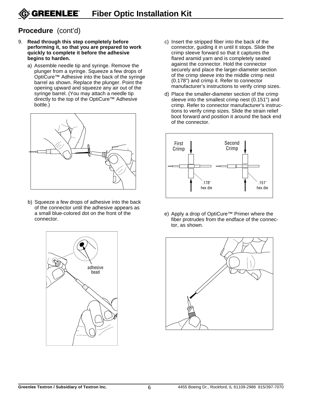#### **Procedure** (cont'd)

- 9. **Read through this step completely before performing it, so that you are prepared to work quickly to complete it before the adhesive begins to harden.**
	- a) Assemble needle tip and syringe. Remove the plunger from a syringe. Squeeze a few drops of OptiCure™ Adhesive into the back of the syringe barrel as shown. Replace the plunger. Point the opening upward and squeeze any air out of the syringe barrel. (You may attach a needle tip directly to the top of the OptiCure™ Adhesive bottle.)



b) Squeeze a few drops of adhesive into the back of the connector until the adhesive appears as a small blue-colored dot on the front of the connector.



- c) Insert the stripped fiber into the back of the connector, guiding it in until it stops. Slide the crimp sleeve forward so that it captures the flared aramid yarn and is completely seated against the connector. Hold the connector securely and place the larger-diameter section of the crimp sleeve into the middle crimp nest (0.178") and crimp it. Refer to connector manufacturer's instructions to verify crimp sizes.
- d) Place the smaller-diameter section of the crimp sleeve into the smallest crimp nest (0.151") and crimp. Refer to connector manufacturer's instructions to verify crimp sizes. Slide the strain relief boot forward and position it around the back end of the connector.



e) Apply a drop of OptiCure™ Primer where the fiber protrudes from the endface of the connector, as shown.

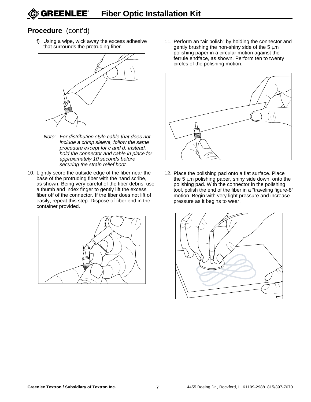#### **Procedure** (cont'd)

f) Using a wipe, wick away the excess adhesive that surrounds the protruding fiber.



- Note: For distribution style cable that does not include a crimp sleeve, follow the same procedure except for c and d. Instead, hold the connector and cable in place for approximately 10 seconds before securing the strain relief boot.
- 10. Lightly score the outside edge of the fiber near the base of the protruding fiber with the hand scribe, as shown. Being very careful of the fiber debris, use a thumb and index finger to gently lift the excess fiber off of the connector. If the fiber does not lift of easily, repeat this step. Dispose of fiber end in the container provided.



11. Perform an "air polish" by holding the connector and gently brushing the non-shiny side of the 5 µm polishing paper in a circular motion against the ferrule endface, as shown. Perform ten to twenty circles of the polishing motion.



12. Place the polishing pad onto a flat surface. Place the 5 µm polishing paper, shiny side down, onto the polishing pad. With the connector in the polishing tool, polish the end of the fiber in a "traveling figure-8" motion. Begin with very light pressure and increase pressure as it begins to wear.

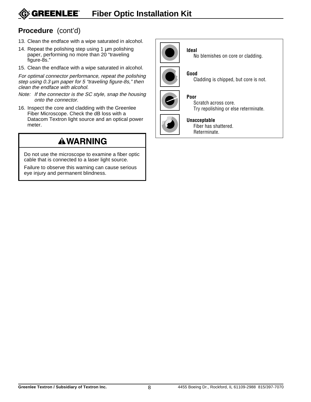#### **GREENLEE® Fiber Optic Installation Kit**

#### **Procedure** (cont'd)

- 13. Clean the endface with a wipe saturated in alcohol.
- 14. Repeat the polishing step using 1  $\mu$ m polishing paper, performing no more than 20 "traveling figure-8s."
- 15. Clean the endface with a wipe saturated in alcohol.

For optimal connector performance, repeat the polishing step using 0.3 um paper for 5 "traveling figure-8s," then clean the endface with alcohol.

- Note: If the connector is the SC style, snap the housing onto the connector.
- 16. Inspect the core and cladding with the Greenlee Fiber Microscope. Check the dB loss with a Datacom Textron light source and an optical power meter.

### **AWARNING**

Do not use the microscope to examine a fiber optic cable that is connected to a laser light source.

Failure to observe this warning can cause serious eye injury and permanent blindness.



**Ideal** No blemishes on core or cladding.



**Good** Cladding is chipped, but core is not.



#### **Poor**

Scratch across core. Try repolishing or else reterminate.



#### **Unacceptable**

Fiber has shattered. Reterminate.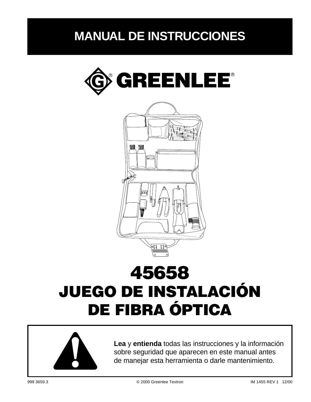### **MANUAL DE INSTRUCCIONES**





# 45658 JUEGO DE INSTALACIÓN DE FIBRA ÓPTICA



**Lea** y **entienda** todas las instrucciones y la información sobre seguridad que aparecen en este manual antes de manejar esta herramienta o darle mantenimiento.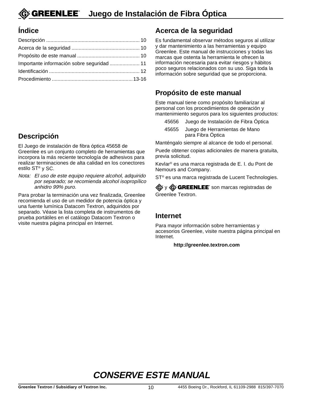#### **Índice**

| Importante información sobre seguridad  11 |  |
|--------------------------------------------|--|
|                                            |  |
|                                            |  |

### **Descripción**

El Juego de instalación de fibra óptica 45658 de Greenlee es un conjunto completo de herramientas que incorpora la más reciente tecnología de adhesivos para realizar terminaciones de alta calidad en los conectores estilo ST® y SC.

Nota: El uso de este equipo requiere alcohol, adquirido por separado; se recomienda alcohol isopropílico anhidro 99% puro.

Para probar la terminación una vez finalizada, Greenlee recomienda el uso de un medidor de potencia óptica y una fuente lumínica Datacom Textron, adquiridos por separado. Véase la lista completa de instrumentos de prueba portátiles en el catálogo Datacom Textron o visite nuestra página principal en Internet.

#### **Acerca de la seguridad**

Es fundamental observar métodos seguros al utilizar y dar mantenimiento a las herramientas y equipo Greenlee. Este manual de instrucciones y todas las marcas que ostenta la herramienta le ofrecen la información necesaria para evitar riesgos y hábitos poco seguros relacionados con su uso. Siga toda la información sobre seguridad que se proporciona.

#### **Propósito de este manual**

Este manual tiene como propósito familiarizar al personal con los procedimientos de operación y mantenimiento seguros para los siguientes productos:

- 45656 Juego de Instalación de Fibra Óptica
- 45655 Juego de Herramientas de Mano para Fibra Óptica

Manténgalo siempre al alcance de todo el personal.

Puede obtener copias adicionales de manera gratuita, previa solicitud.

Kevlar® es una marca registrada de E. I. du Pont de Nemours and Company.

ST® es una marca registrada de Lucent Technologies.

G y G GREENLEE son marcas registradas de Greenlee Textron.

#### **Internet**

Para mayor información sobre herramientas y accesorios Greenlee, visite nuestra página principal en Internet.

#### **http://greenlee.textron.com**

**CONSERVE ESTE MANUAL**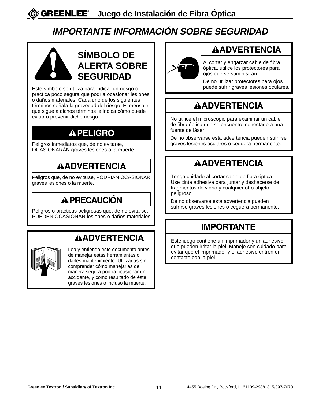### **IMPORTANTE INFORMACIÓN SOBRE SEGURIDAD**



### **SÍMBOLO DE ALERTA SOBRE SEGURIDAD**

Este símbolo se utiliza para indicar un riesgo o práctica poco segura que podría ocasionar lesiones o daños materiales. Cada uno de los siguientes términos señala la gravedad del riesgo. El mensaje que sigue a dichos términos le indica cómo puede evitar o prevenir dicho riesgo.

### **APELIGRO**

Peligros inmediatos que, de no evitarse, OCASIONARÁN graves lesiones o la muerte.

### AADVERTENCIA

Peligros que, de no evitarse, PODRÍAN OCASIONAR graves lesiones o la muerte.

### **A PRECAUCIÓN**

Peligros o prácticas peligrosas que, de no evitarse, PUEDEN OCASIONAR lesiones o daños materiales.

### **AADVERTENCIA**



Lea y entienda este documento antes de manejar estas herramientas o darles mantenimiento. Utilizarlas sin comprender cómo manejarlas de manera segura podría ocasionar un accidente, y como resultado de éste, graves lesiones o incluso la muerte.



### AADVERTENCIA

Al cortar y engarzar cable de fibra óptica, utilice los protectores para ojos que se suministran.

De no utilizar protectores para ojos puede sufrir graves lesiones oculares.

### AADVERTENCIA

No utilice el microscopio para examinar un cable de fibra óptica que se encuentre conectado a una fuente de láser.

De no observarse esta advertencia pueden sufrirse graves lesiones oculares o ceguera permanente.

### **AADVERTENCIA**

Tenga cuidado al cortar cable de fibra óptica. Use cinta adhesiva para juntar y deshacerse de fragmentos de vidrio y cualquier otro objeto peligroso.

De no observarse esta advertencia pueden sufrirse graves lesiones o ceguera permanente.

### **IMPORTANTE**

Este juego contiene un imprimador y un adhesivo que pueden irritar la piel. Maneje con cuidado para evitar que el imprimador y el adhesivo entren en contacto con la piel.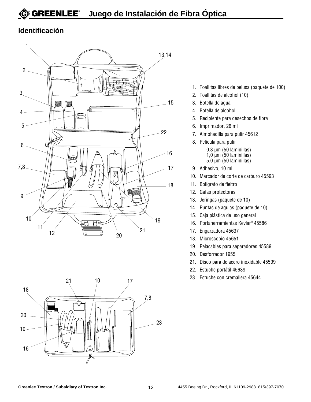#### **Identificación**





- 1. Toallitas libres de pelusa (paquete de 100)
- 2. Toallitas de alcohol (10)
- 3. Botella de agua
- 4. Botella de alcohol
- 5. Recipiente para desechos de fibra
- 6. Imprimador, 26 ml
- 7. Almohadilla para pulir 45612
- 8. Película para pulir
	- $0,3 \mu m$  (50 laminillas)  $1,0$  µm (50 laminillas)
	- $5,0 \mu m$  (50 laminillas)
- 9. Adhesivo, 10 ml
- 10. Marcador de corte de carburo 45593
- 11. Bolígrafo de fieltro
- 12. Gafas protectoras
- 13. Jeringas (paquete de 10)
- 14. Puntas de agujas (paquete de 10)
- 15. Caja plástica de uso general
- 16. Portaherramientas Kevlar® 45586
- 17. Engarzadora 45637
- 18. Microscopio 45651
- 19. Pelacables para separadores 45589
- 20. Desforrador 1955
- 21. Disco para de acero inoxidable 45599
- 22. Estuche portátil 45639
- 23. Estuche con cremallera 45644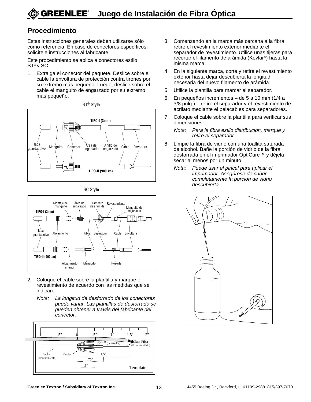#### **Procedimiento**

Estas instrucciones generales deben utilizarse sólo como referencia. En caso de conectores específicos, solicítele instrucciones al fabricante.

Este procedimiento se aplica a conectores estilo ST® y SC.

1. Extraiga el conector del paquete. Deslice sobre el cable la envoltura de protección contra tirones por su extremo más pequeño. Luego, deslice sobre el cable el manguito de engarzado por su extremo más pequeño.





SC Style



- 2. Coloque el cable sobre la plantilla y marque el revestimiento de acuerdo con las medidas que se indican.
	- Nota: La longitud de desforrado de los conectores puede variar. Las plantillas de desforrado se pueden obtener a través del fabricante del conector.



- 3. Comenzando en la marca más cercana a la fibra, retire el revestimiento exterior mediante el separador de revestimiento. Utilice unas tijeras para recortar el filamento de arámida (Kevlar®) hasta la misma marca.
- 4. En la siguiente marca, corte y retire el revestimiento exterior hasta dejar descubierta la longitud necesaria del nuevo filamento de arámida.
- 5. Utilice la plantilla para marcar el separador.
- 6. En pequeños incrementos de 5 a 10 mm (1/4 a 3/8 pulg.) – retire el separador y el revestimiento de acrilato mediante el pelacables para separadores.
- 7. Coloque el cable sobre la plantilla para verificar sus dimensiones.

Nota: Para la fibra estilo distribución, marque y retire el separador.

- 8. Limpie la fibra de vidrio con una toallita saturada de alcohol. Bañe la porción de vidrio de la fibra desforrada en el imprimador OptiCure™ y déjela secar al menos por un minuto.
	- Nota: Puede usar el pincel para aplicar el imprimador. Asegúrese de cubrir completamente la porción de vidrio descubierta.

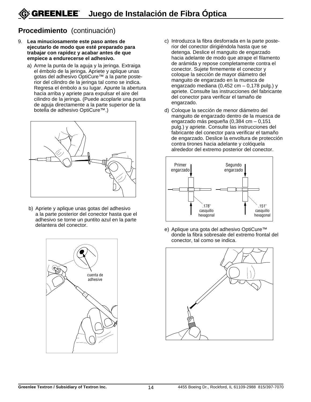#### **Procedimiento** (continuación)

- 9. **Lea minuciosamente este paso antes de ejecutarlo de modo que esté preparado para trabajar con rapidez y acabar antes de que empiece a endurecerse el adhesivo.**
	- a) Arme la punta de la aguja y la jeringa. Extraiga el émbolo de la jeringa. Apriete y aplique unas gotas del adhesivo OptiCure™ a la parte posterior del cilindro de la jeringa tal como se indica. Regresa el émbolo a su lugar. Apunte la abertura hacia arriba y apriete para expulsar el aire del cilindro de la jeringa. (Puede acoplarle una punta de aguja directamente a la parte superior de la botella de adhesivo OptiCure™.)



b) Apriete y aplique unas gotas del adhesivo a la parte posterior del conector hasta que el adhesivo se torne un puntito azul en la parte delantera del conector.



- c) Introduzca la fibra desforrada en la parte posterior del conector dirigiéndola hasta que se detenga. Deslice el manguito de engarzado hacia adelante de modo que atrape el filamento de arámida y repose completamente contra el conector. Sujete firmemente el conector y coloque la sección de mayor diámetro del manguito de engarzado en la muesca de engarzado mediana (0,452 cm – 0,178 pulg.) y apriete. Consulte las instrucciones del fabricante del conector para verificar el tamaño de engarzado.
- d) Coloque la sección de menor diámetro del manguito de engarzado dentro de la muesca de engarzado más pequeña (0,384 cm – 0,151 pulg.) y apriete. Consulte las instrucciones del fabricante del conector para verificar el tamaño de engarzado. Deslice la envoltura de protección contra tirones hacia adelante y colóquela alrededor del extremo posterior del conector.



e) Aplique una gota del adhesivo OptiCure™ donde la fibra sobresale del extremo frontal del conector, tal como se indica.

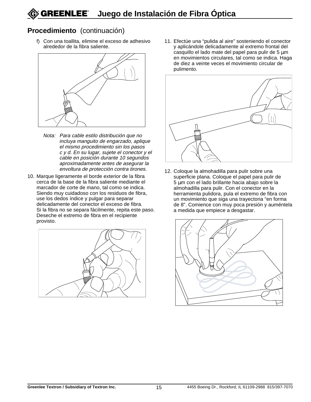#### **Procedimiento** (continuación)

f) Con una toallita, elimine el exceso de adhesivo alrededor de la fibra saliente.



- Nota: Para cable estilo distribución que no incluya manguito de engarzado, aplique el mismo procedimiento sin los pasos c y d. En su lugar, sujete el conector y el cable en posición durante 10 segundos aproximadamente antes de asegurar la envoltura de protección contra tirones.
- 10. Marque ligeramente el borde exterior de la fibra cerca de la base de la fibra saliente mediante el marcador de corte de mano, tal como se indica. Siendo muy cuidadoso con los residuos de fibra, use los dedos índice y pulgar para separar delicadamente del conector el exceso de fibra. Si la fibra no se separa fácilmente, repita este paso. Deseche el extremo de fibra en el recipiente provisto.



11. Efectúe una "pulida al aire" sosteniendo el conector y aplicándole delicadamente al extremo frontal del casquillo el lado mate del papel para pulir de 5 µm en movimientos circulares, tal como se indica. Haga de diez a veinte veces el movimiento circular de pulimento.



12. Coloque la almohadilla para pulir sobre una superficie plana. Coloque el papel para pulir de 5 µm con el lado brillante hacia abajo sobre la almohadilla para pulir. Con el conector en la herramienta pulidora, pula el extremo de fibra con un movimiento que siga una trayectoria "en forma de 8". Comience con muy poca presión y auméntela a medida que empiece a desgastar.

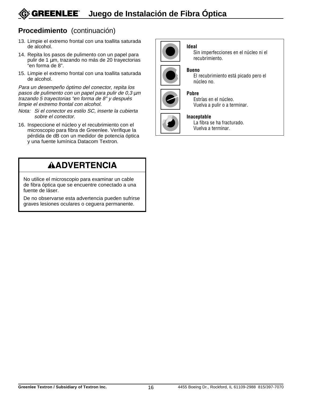#### **GREENLEE® Juego de Instalación de Fibra Óptica**

#### **Procedimiento** (continuación)

- 13. Limpie el extremo frontal con una toallita saturada de alcohol.
- 14. Repita los pasos de pulimento con un papel para pulir de 1 µm, trazando no más de 20 trayectorias "en forma de 8".
- 15. Limpie el extremo frontal con una toallita saturada de alcohol.

Para un desempeño óptimo del conector, repita los pasos de pulimento con un papel para pulir de 0,3 µ<sup>m</sup> trazando 5 trayectorias "en forma de 8" y después limpie el extremo frontal con alcohol.

- Nota: Si el conector es estilo SC, inserte la cubierta sobre el conector.
- 16. Inspeccione el núcleo y el recubrimiento con el microscopio para fibra de Greenlee. Verifique la pérdida de dB con un medidor de potencia óptica y una fuente lumínica Datacom Textron.



#### **Ideal**

Sin imperfecciones en el núcleo ni el recubrimiento.

#### **Bueno**

El recubrimiento está picado pero el núcleo no.



#### **Pobre**

Estrías en el núcleo. Vuelva a pulir o a terminar.

#### **Inaceptable**

La fibra se ha fracturado. Vuelva a terminar.

### **AADVERTENCIA**

No utilice el microscopio para examinar un cable de fibra óptica que se encuentre conectado a una fuente de láser.

De no observarse esta advertencia pueden sufrirse graves lesiones oculares o ceguera permanente.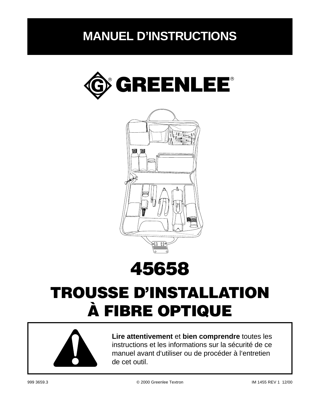## **MANUEL D'INSTRUCTIONS**







## TROUSSE D'INSTALLATION À FIBRE OPTIQUE



**Lire attentivement** et **bien comprendre** toutes les instructions et les informations sur la sécurité de ce manuel avant d'utiliser ou de procéder à l'entretien de cet outil.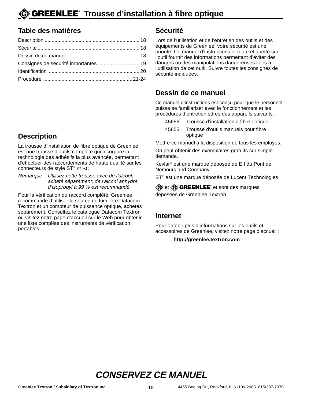#### **Table des matières**

| Consignes de sécurité importantes  19 |  |
|---------------------------------------|--|
|                                       |  |
|                                       |  |

### **Description**

La trousse d'installation de fibre optique de Greenlee est une trousse d'outils complète qui incorpore la technologie des adhésifs la plus avancée, permettant d'effectuer des raccordements de haute qualité sur les connecteurs de style ST® et SC.

Remarque : Utilisez cette trousse avec de l'alcool, acheté séparément; de l'alcool anhydre d'isopropyl à 99 % est recommandé.

Pour la vérification du raccord complété, Greenlee recommande d'utiliser la source de lum ière Datacom Textron et un compteur de puissance optique, achetés séparément. Consultez le catalogue Datacom Textron ou visitez notre page d'accueil sur le Web pour obtenir une liste complète des instruments de vérification portables.

#### **Sécurité**

Lors de l'utilisation et de l'entretien des outils et des équipements de Greenlee, votre sécurité est une priorité. Ce manuel d'instructions et toute étiquette sur l'outil fournit des informations permettant d'éviter des dangers ou des manipulations dangereuses liées à l'utilisation de cet outil. Suivre toutes les consignes de sécurité indiquées.

#### **Dessin de ce manuel**

Ce manuel d'instructions est conçu pour que le personnel puisse se familiariser avec le fonctionnement et les procédures d'entretien sûres des appareils suivants :

- 45656 Trousse d'installation à fibre optique
- 45655 Trousse d'outils manuels pour fibre optique

Mettre ce manuel à la disposition de tous les employés.

On peut obtenir des exemplaires gratuits sur simple demande.

Kevlar® est une marque déposée de E.I du Pont de Nemours and Company.

ST<sup>®</sup> est une marque déposée de Lucent Technologies.

G et **G GREENLEE** et sont des marques déposées de Greenlee Textron.

#### **Internet**

Pour obtenir plus d'informations sur les outils et accessoires de Greenlee, visitez notre page d'accueil :

#### **http://greenlee.textron.com**

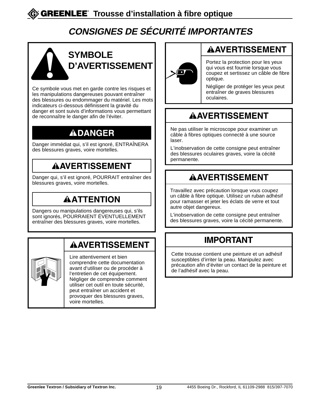### **CONSIGNES DE SÉCURITÉ IMPORTANTES**



Ce symbole vous met en garde contre les risques et les manipulations dangereuses pouvant entraîner des blessures ou endommager du matériel. Les mots indicateurs ci-dessous définissent la gravité du danger et sont suivis d'informations vous permettant de reconnaître le danger afin de l'éviter.

### **ADANGER**

Danger immédiat qui, s'il est ignoré, ENTRAÎNERA des blessures graves, voire mortelles.

### **AAVERTISSEMENT**

Danger qui, s'il est ignoré, POURRAIT entraîner des blessures graves, voire mortelles.

### **AATTENTION**

Dangers ou manipulations dangereuses qui, s'ils sont ignorés, POURRAIENT ÉVENTUELLEMENT entraîner des blessures graves, voire mortelles.

### **AAVERTISSEMENT**

Lire attentivement et bien comprendre cette documentation avant d'utiliser ou de procéder à l'entretien de cet équipement. Négliger de comprendre comment utiliser cet outil en toute sécurité, peut entraîner un accident et provoquer des blessures graves, voire mortelles.



### **AAVERTISSEMENT**

Portez la protection pour les yeux qui vous est fournie lorsque vous coupez et sertissez un câble de fibre optique.

Négliger de protéger les yeux peut entraîner de graves blessures oculaires.

### **AAVERTISSEMENT**

Ne pas utiliser le microscope pour examiner un câble à fibres optiques connecté à une source laser.

L'inobservation de cette consigne peut entraîner des blessures oculaires graves, voire la cécité permanente.

### **AAVERTISSEMENT**

Travaillez avec précaution lorsque vous coupez un câble à fibre optique. Utilisez un ruban adhésif pour ramasser et jeter les éclats de verre et tout autre objet dangereux.

L'inobservation de cette consigne peut entraîner des blessures graves, voire la cécité permanente.

### **IMPORTANT**

Cette trousse contient une peinture et un adhésif susceptibles d'irriter la peau. Manipulez avec précaution afin d'éviter un contact de la peinture et de l'adhésif avec la peau.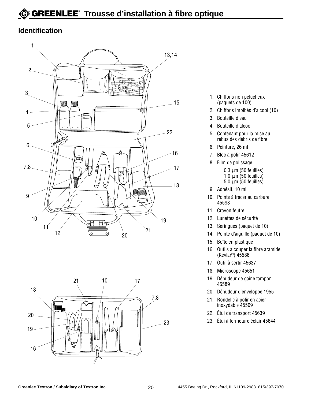#### **Identification**





- 1. Chiffons non pelucheux (paquets de 100)
- 2. Chiffons imbibés d'alcool (10)
- 3. Bouteille d'eau
- 4. Bouteille d'alcool
- 5. Contenant pour la mise au rebus des débris de fibre
- 6. Peinture, 26 ml
- 7. Bloc à polir 45612
- 8. Film de polissage
	- $0,3 \mu m$  (50 feuilles) 1,0  $\mu$ m (50 feuilles)  $5,0$  um  $(50$  feuilles)
- 9. Adhésif, 10 ml
- 10. Pointe à tracer au carbure 45593
- 11. Crayon feutre
- 12. Lunettes de sécurité
- 13. Seringues (paquet de 10)
- 14. Pointe d'aiguille (paquet de 10)
- 15. Boîte en plastique
- 16. Outils à couper la fibre aramide (Kevlar®) 45586
- 17. Outil à sertir 45637
- 18. Microscope 45651
- 19. Dénudeur de gaine tampon 45589
- 20. Dénudeur d'enveloppe 1955
- 21. Rondelle à polir en acier inoxydable 45599
- 22. Étui de transport 45639
- 23. Étui à fermeture éclair 45644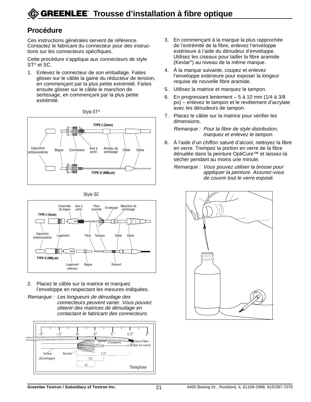#### **Procédure**

Ces instructions générales servent de référence. Contactez le fabricant du connecteur pour des instructions sur les connecteurs spécifiques.

Cette procédure s'applique aux connecteurs de style ST® et SC.

1. Enlevez le connecteur de son emballage. Faites glisser sur le câble la gaine du réducteur de tension, en commençant par la plus petite extrémité. Faites ensuite glisser sur le câble le manchon de sertissage, en commençant par la plus petite extrémité.







- 2. Placez le câble sur la matrice et marquez l'enveloppe en respectant les mesures indiquées.
- Remarque : Les longueurs de dénudage des connecteurs peuvent varier. Vous pouvez obtenir des matrices de dénudage en contactant le fabricant des connecteurs.



- 3. En commençant à la marque la plus rapprochée de l'extrémité de la fibre, enlevez l'enveloppe extérieure à l'aide du dénudeur d'enveloppe. Utilisez les ciseaux pour tailler la fibre aramide (Kevlar®) au niveau de la même marque.
- 4. À la marque suivante, coupez et enlevez l'enveloppe extérieure pour exposer la longeur requise de nouvelle fibre aramide.
- 5. Utilisez la matrice et marquez le tampon.
- 6. En progressant lentement 5 à 10 mm (1/4 à 3/8 po) – enlevez le tampon et le revêtement d'acrylate avec les dénudeurs de tampon.
- 7. Placez le câble sur la matrice pour vérifier les dimensions.

Remarque : Pour la fibre de style distribution, marquez et enlevez le tampon.

- 8. À l'aide d'un chiffon saturé d'alcool, nettoyez la fibre en verre. Trempez la portion en verre de la fibre dénudée dans la peinture OptiCure™ et laissez-la sécher pendant au moins une minute.
	- Remarque : Vous pouvez utiliser la brosse pour appliquer la peinture. Assurez-vous de couvrir tout le verre exposé.

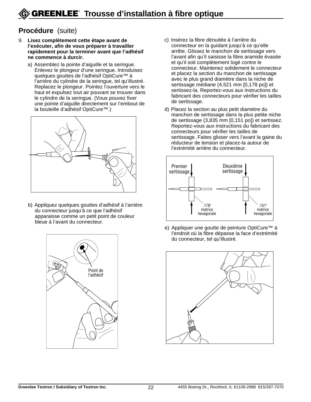#### **Procédure** (suite)

- 9. **Lisez complètement cette étape avant de l'exécuter, afin de vous préparer à travailler rapidement pour la terminer avant que l'adhésif ne commence à durcir.**
	- a) Assemblez la pointe d'aiguille et la seringue. Enlevez le plongeur d'une seringue. Introduisez quelques gouttes de l'adhésif OptiCure™ à l'arrière du cylindre de la seringue, tel qu'illustré. Replacez le plongeur. Pointez l'ouverture vers le haut et expulsez tout air pouvant se trouver dans le cylindre de la seringue. (Vous pouvez fixer une pointe d'aiguille directement sur l'embout de la bouteille d'adhésif OptiCure™.)



b) Appliquez quelques gouttes d'adhésif à l'arrière du connecteur jusqu'à ce que l'adhésif apparaisse comme un petit point de couleur bleue à l'avant du connecteur.



- c) Insérez la fibre dénudée à l'arrière du connecteur en la guidant jusqu'à ce qu'elle arrête. Glissez le manchon de sertissage vers l'avant afin qu'il saisisse la fibre aramide évasée et qu'il soit complètement logé contre le connecteur. Maintenez solidement le connecteur et placez la section du manchon de sertissage avec le plus grand diamètre dans la niche de sertissage médiane (4,521 mm [0,178 po]) et sertissez-la. Reportez-vous aux instructions du fabricant des connecteurs pour vérifier les tailles de sertissage.
- d) Placez la section au plus petit diamètre du manchon de sertissage dans la plus petite niche de sertissage (3,835 mm [0,151 po]) et sertissez. Reportez-vous aux instructions du fabricant des connecteurs pour vérifier les tailles de sertissage. Faites glisser vers l'avant la gaine du réducteur de tension et placez-la autour de l'extrémité arrière du connecteur.



e) Appliquer une goutte de peinture OptiCure<sup>™</sup> à l'endroit où la fibre dépasse la face d'extrémité du connecteur, tel qu'illustré.

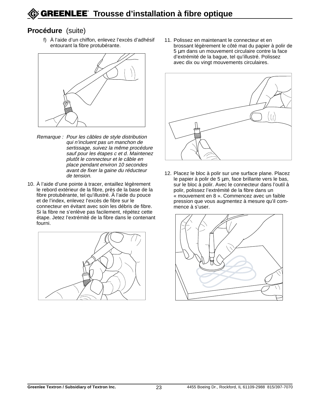#### **Procédure** (suite)

f) À l'aide d'un chiffon, enlevez l'excès d'adhésif entourant la fibre protubérante.



- Remarque : Pour les câbles de style distribution qui n'incluent pas un manchon de sertissage, suivez la même procédure sauf pour les étapes c et d. Maintenez plutôt le connecteur et le câble en place pendant environ 10 secondes avant de fixer la gaine du réducteur de tension.
- 10. À l'aide d'une pointe à tracer, entaillez légèrement le rebord extérieur de la fibre, près de la base de la fibre protubérante, tel qu'illustré. À l'aide du pouce et de l'index, enlevez l'excès de fibre sur le connecteur en évitant avec soin les débris de fibre. Si la fibre ne s'enlève pas facilement, répétez cette étape. Jetez l'extrémité de la fibre dans le contenant fourni.



11. Polissez en maintenant le connecteur et en brossant légèrement le côté mat du papier à polir de 5 µm dans un mouvement circulaire contre la face d'extrémité de la bague, tel qu'illustré. Polissez avec dix ou vingt mouvements circulaires.



12. Placez le bloc à polir sur une surface plane. Placez le papier à polir de 5 µm, face brillante vers le bas, sur le bloc à polir. Avec le connecteur dans l'outil à polir, polissez l'extrémité de la fibre dans un « mouvement en 8 ». Commencez avec un faible pression que vous augmentez à mesure qu'il commence à s'user.